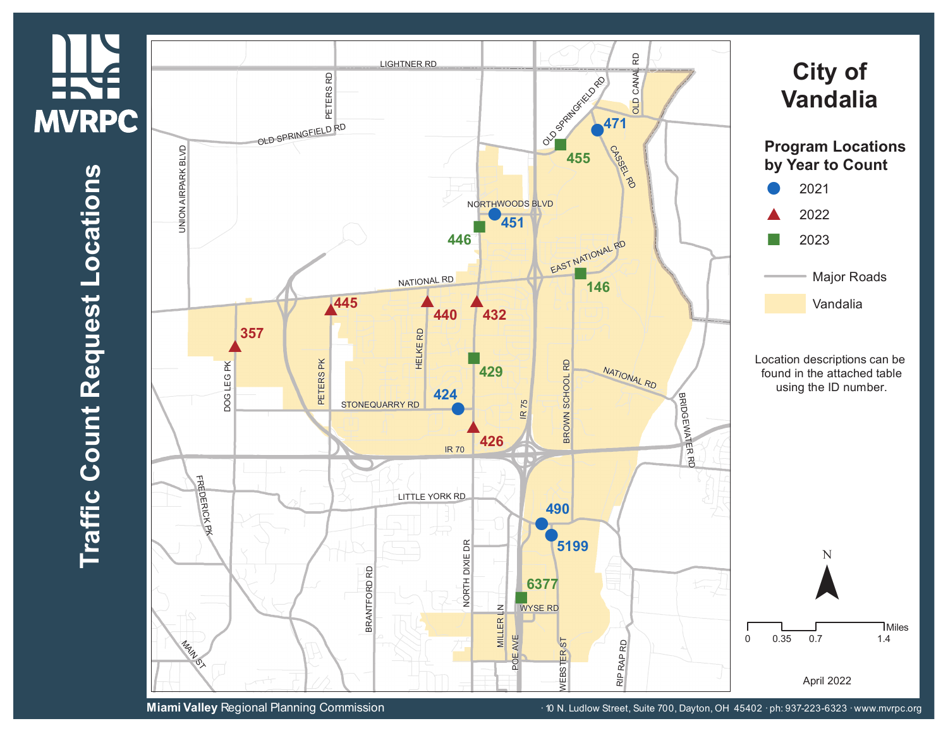## **HKE MVRPC**

## $\blacksquare$ **r a ffic C o u n t R e q u e s t L o**  $\mathbf{\mathbf{\mathbf{\mathbf{\omega}}}$ **a tio n s**